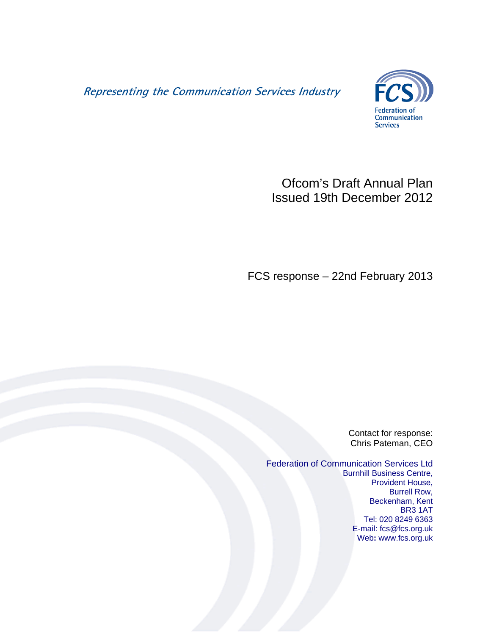Representing the Communication Services Industry



# Ofcom's Draft Annual Plan Issued 19th December 2012

FCS response – 22nd February 2013

Contact for response: Chris Pateman, CEO

Federation of Communication Services Ltd Burnhill Business Centre, Provident House, Burrell Row, Beckenham, Kent BR3 1AT Tel: 020 8249 6363 E-mail: fcs@fcs.org.uk Web**:** www.fcs.org.uk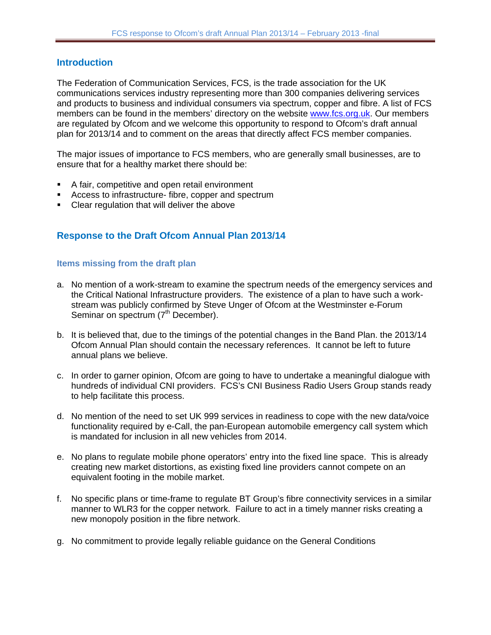## **Introduction**

The Federation of Communication Services, FCS, is the trade association for the UK communications services industry representing more than 300 companies delivering services and products to business and individual consumers via spectrum, copper and fibre. A list of FCS members can be found in the members' directory on the website [www.fcs.org.uk.](http://www.fcs.org.uk/) Our members are regulated by Ofcom and we welcome this opportunity to respond to Ofcom's draft annual plan for 2013/14 and to comment on the areas that directly affect FCS member companies.

The major issues of importance to FCS members, who are generally small businesses, are to ensure that for a healthy market there should be:

- A fair, competitive and open retail environment
- Access to infrastructure- fibre, copper and spectrum
- Clear regulation that will deliver the above

# **Response to the Draft Ofcom Annual Plan 2013/14**

#### **Items missing from the draft plan**

- a. No mention of a work-stream to examine the spectrum needs of the emergency services and the Critical National Infrastructure providers. The existence of a plan to have such a workstream was publicly confirmed by Steve Unger of Ofcom at the Westminster e-Forum Seminar on spectrum (7<sup>th</sup> December).
- b. It is believed that, due to the timings of the potential changes in the Band Plan. the 2013/14 Ofcom Annual Plan should contain the necessary references. It cannot be left to future annual plans we believe.
- c. In order to garner opinion, Ofcom are going to have to undertake a meaningful dialogue with hundreds of individual CNI providers. FCS's CNI Business Radio Users Group stands ready to help facilitate this process.
- d. No mention of the need to set UK 999 services in readiness to cope with the new data/voice functionality required by e-Call, the pan-European automobile emergency call system which is mandated for inclusion in all new vehicles from 2014.
- e. No plans to regulate mobile phone operators' entry into the fixed line space. This is already creating new market distortions, as existing fixed line providers cannot compete on an equivalent footing in the mobile market.
- f. No specific plans or time-frame to regulate BT Group's fibre connectivity services in a similar manner to WLR3 for the copper network. Failure to act in a timely manner risks creating a new monopoly position in the fibre network.
- g. No commitment to provide legally reliable guidance on the General Conditions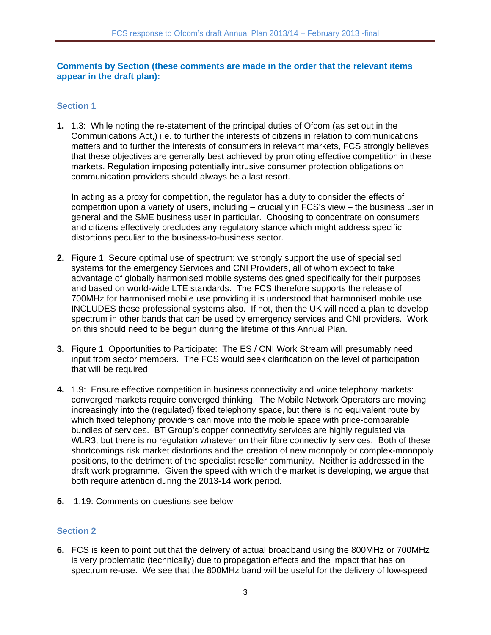#### **Comments by Section (these comments are made in the order that the relevant items appear in the draft plan):**

## **Section 1**

**1.** 1.3: While noting the re-statement of the principal duties of Ofcom (as set out in the Communications Act,) i.e. to further the interests of citizens in relation to communications matters and to further the interests of consumers in relevant markets, FCS strongly believes that these objectives are generally best achieved by promoting effective competition in these markets. Regulation imposing potentially intrusive consumer protection obligations on communication providers should always be a last resort.

In acting as a proxy for competition, the regulator has a duty to consider the effects of competition upon a variety of users, including – crucially in FCS's view – the business user in general and the SME business user in particular. Choosing to concentrate on consumers and citizens effectively precludes any regulatory stance which might address specific distortions peculiar to the business-to-business sector.

- **2.** Figure 1, Secure optimal use of spectrum: we strongly support the use of specialised systems for the emergency Services and CNI Providers, all of whom expect to take advantage of globally harmonised mobile systems designed specifically for their purposes and based on world-wide LTE standards. The FCS therefore supports the release of 700MHz for harmonised mobile use providing it is understood that harmonised mobile use INCLUDES these professional systems also. If not, then the UK will need a plan to develop spectrum in other bands that can be used by emergency services and CNI providers. Work on this should need to be begun during the lifetime of this Annual Plan.
- **3.** Figure 1, Opportunities to Participate: The ES / CNI Work Stream will presumably need input from sector members. The FCS would seek clarification on the level of participation that will be required
- **4.** 1.9: Ensure effective competition in business connectivity and voice telephony markets: converged markets require converged thinking. The Mobile Network Operators are moving increasingly into the (regulated) fixed telephony space, but there is no equivalent route by which fixed telephony providers can move into the mobile space with price-comparable bundles of services. BT Group's copper connectivity services are highly regulated via WLR3, but there is no regulation whatever on their fibre connectivity services. Both of these shortcomings risk market distortions and the creation of new monopoly or complex-monopoly positions, to the detriment of the specialist reseller community. Neither is addressed in the draft work programme. Given the speed with which the market is developing, we argue that both require attention during the 2013-14 work period.
- **5.** 1.19: Comments on questions see below

## **Section 2**

**6.** FCS is keen to point out that the delivery of actual broadband using the 800MHz or 700MHz is very problematic (technically) due to propagation effects and the impact that has on spectrum re-use. We see that the 800MHz band will be useful for the delivery of low-speed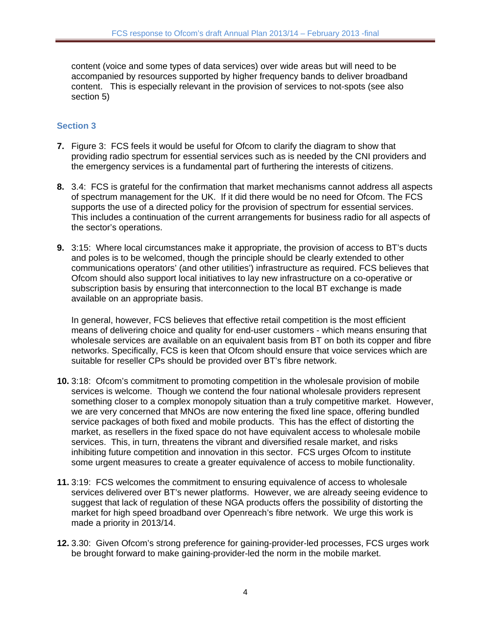content (voice and some types of data services) over wide areas but will need to be accompanied by resources supported by higher frequency bands to deliver broadband content. This is especially relevant in the provision of services to not-spots (see also section 5)

## **Section 3**

- **7.** Figure 3: FCS feels it would be useful for Ofcom to clarify the diagram to show that providing radio spectrum for essential services such as is needed by the CNI providers and the emergency services is a fundamental part of furthering the interests of citizens.
- **8.** 3.4: FCS is grateful for the confirmation that market mechanisms cannot address all aspects of spectrum management for the UK. If it did there would be no need for Ofcom. The FCS supports the use of a directed policy for the provision of spectrum for essential services. This includes a continuation of the current arrangements for business radio for all aspects of the sector's operations.
- **9.** 3:15: Where local circumstances make it appropriate, the provision of access to BT's ducts and poles is to be welcomed, though the principle should be clearly extended to other communications operators' (and other utilities') infrastructure as required. FCS believes that Ofcom should also support local initiatives to lay new infrastructure on a co-operative or subscription basis by ensuring that interconnection to the local BT exchange is made available on an appropriate basis.

In general, however, FCS believes that effective retail competition is the most efficient means of delivering choice and quality for end-user customers - which means ensuring that wholesale services are available on an equivalent basis from BT on both its copper and fibre networks. Specifically, FCS is keen that Ofcom should ensure that voice services which are suitable for reseller CPs should be provided over BT's fibre network.

- **10.** 3:18: Ofcom's commitment to promoting competition in the wholesale provision of mobile services is welcome. Though we contend the four national wholesale providers represent something closer to a complex monopoly situation than a truly competitive market. However, we are very concerned that MNOs are now entering the fixed line space, offering bundled service packages of both fixed and mobile products. This has the effect of distorting the market, as resellers in the fixed space do not have equivalent access to wholesale mobile services. This, in turn, threatens the vibrant and diversified resale market, and risks inhibiting future competition and innovation in this sector. FCS urges Ofcom to institute some urgent measures to create a greater equivalence of access to mobile functionality.
- **11.** 3:19: FCS welcomes the commitment to ensuring equivalence of access to wholesale services delivered over BT's newer platforms. However, we are already seeing evidence to suggest that lack of regulation of these NGA products offers the possibility of distorting the market for high speed broadband over Openreach's fibre network. We urge this work is made a priority in 2013/14.
- **12.** 3.30: Given Ofcom's strong preference for gaining-provider-led processes, FCS urges work be brought forward to make gaining-provider-led the norm in the mobile market.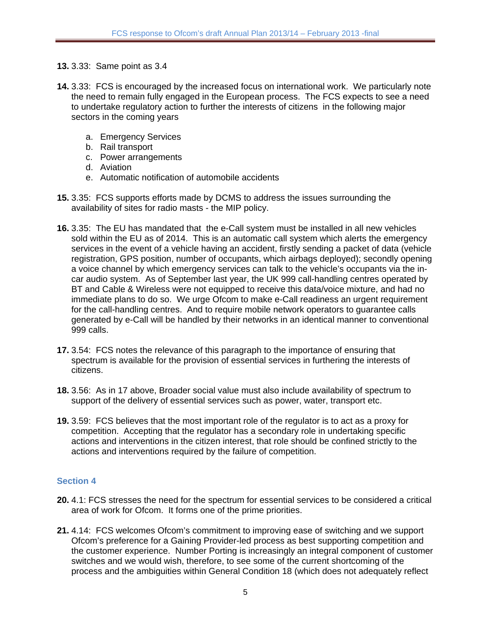- **13.** 3.33: Same point as 3.4
- **14.** 3.33: FCS is encouraged by the increased focus on international work. We particularly note the need to remain fully engaged in the European process. The FCS expects to see a need to undertake regulatory action to further the interests of citizens in the following major sectors in the coming years
	- a. Emergency Services
	- b. Rail transport
	- c. Power arrangements
	- d. Aviation
	- e. Automatic notification of automobile accidents
- **15.** 3.35: FCS supports efforts made by DCMS to address the issues surrounding the availability of sites for radio masts - the MIP policy.
- **16.** 3.35: The EU has mandated that the e-Call system must be installed in all new vehicles sold within the EU as of 2014. This is an automatic call system which alerts the emergency services in the event of a vehicle having an accident, firstly sending a packet of data (vehicle registration, GPS position, number of occupants, which airbags deployed); secondly opening a voice channel by which emergency services can talk to the vehicle's occupants via the incar audio system. As of September last year, the UK 999 call-handling centres operated by BT and Cable & Wireless were not equipped to receive this data/voice mixture, and had no immediate plans to do so. We urge Ofcom to make e-Call readiness an urgent requirement for the call-handling centres. And to require mobile network operators to guarantee calls generated by e-Call will be handled by their networks in an identical manner to conventional 999 calls.
- **17.** 3.54: FCS notes the relevance of this paragraph to the importance of ensuring that spectrum is available for the provision of essential services in furthering the interests of citizens.
- **18.** 3.56: As in 17 above, Broader social value must also include availability of spectrum to support of the delivery of essential services such as power, water, transport etc.
- **19.** 3.59: FCS believes that the most important role of the regulator is to act as a proxy for competition. Accepting that the regulator has a secondary role in undertaking specific actions and interventions in the citizen interest, that role should be confined strictly to the actions and interventions required by the failure of competition.

## **Section 4**

- **20.** 4.1: FCS stresses the need for the spectrum for essential services to be considered a critical area of work for Ofcom. It forms one of the prime priorities.
- **21.** 4.14: FCS welcomes Ofcom's commitment to improving ease of switching and we support Ofcom's preference for a Gaining Provider-led process as best supporting competition and the customer experience. Number Porting is increasingly an integral component of customer switches and we would wish, therefore, to see some of the current shortcoming of the process and the ambiguities within General Condition 18 (which does not adequately reflect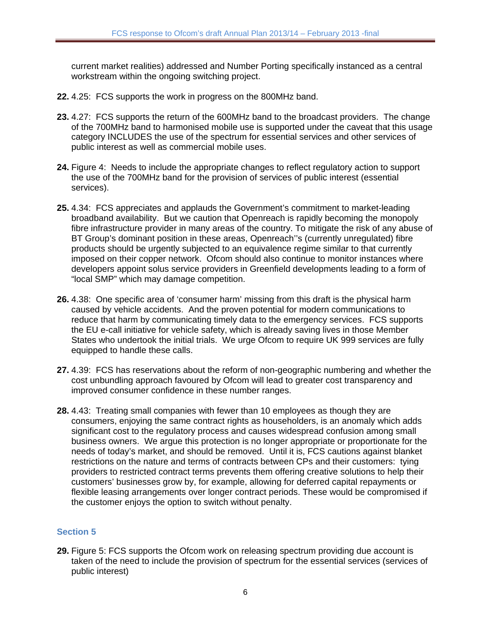current market realities) addressed and Number Porting specifically instanced as a central workstream within the ongoing switching project.

- **22.** 4.25: FCS supports the work in progress on the 800MHz band.
- **23.** 4.27: FCS supports the return of the 600MHz band to the broadcast providers. The change of the 700MHz band to harmonised mobile use is supported under the caveat that this usage category INCLUDES the use of the spectrum for essential services and other services of public interest as well as commercial mobile uses.
- **24.** Figure 4: Needs to include the appropriate changes to reflect regulatory action to support the use of the 700MHz band for the provision of services of public interest (essential services).
- **25.** 4.34: FCS appreciates and applauds the Government's commitment to market-leading broadband availability. But we caution that Openreach is rapidly becoming the monopoly fibre infrastructure provider in many areas of the country. To mitigate the risk of any abuse of BT Group's dominant position in these areas, Openreach''s (currently unregulated) fibre products should be urgently subjected to an equivalence regime similar to that currently imposed on their copper network. Ofcom should also continue to monitor instances where developers appoint solus service providers in Greenfield developments leading to a form of "local SMP" which may damage competition.
- **26.** 4.38: One specific area of 'consumer harm' missing from this draft is the physical harm caused by vehicle accidents. And the proven potential for modern communications to reduce that harm by communicating timely data to the emergency services. FCS supports the EU e-call initiative for vehicle safety, which is already saving lives in those Member States who undertook the initial trials. We urge Ofcom to require UK 999 services are fully equipped to handle these calls.
- **27.** 4.39: FCS has reservations about the reform of non-geographic numbering and whether the cost unbundling approach favoured by Ofcom will lead to greater cost transparency and improved consumer confidence in these number ranges.
- **28.** 4.43: Treating small companies with fewer than 10 employees as though they are consumers, enjoying the same contract rights as householders, is an anomaly which adds significant cost to the regulatory process and causes widespread confusion among small business owners. We argue this protection is no longer appropriate or proportionate for the needs of today's market, and should be removed. Until it is, FCS cautions against blanket restrictions on the nature and terms of contracts between CPs and their customers: tying providers to restricted contract terms prevents them offering creative solutions to help their customers' businesses grow by, for example, allowing for deferred capital repayments or flexible leasing arrangements over longer contract periods. These would be compromised if the customer enjoys the option to switch without penalty.

## **Section 5**

**29.** Figure 5: FCS supports the Ofcom work on releasing spectrum providing due account is taken of the need to include the provision of spectrum for the essential services (services of public interest)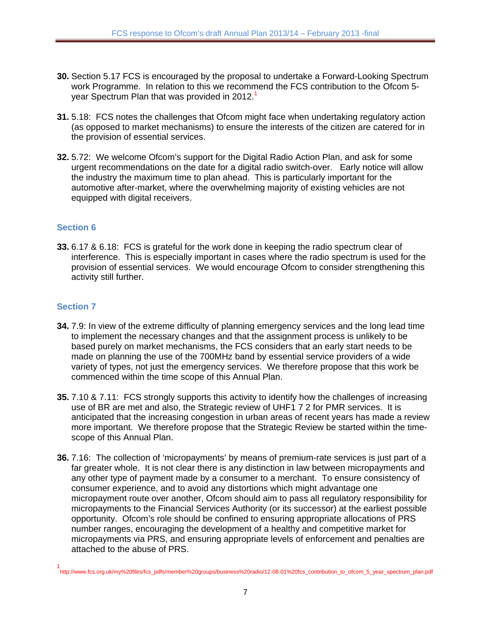- **30.** Section 5.17 FCS is encouraged by the proposal to undertake a Forward-Looking Spectrum work Programme. In relation to this we recommend the FCS contribution to the Ofcom 5 year Spectrum Plan that was provided in 2012.<sup>1</sup>
- **31.** 5.18: FCS notes the challenges that Ofcom might face when undertaking regulatory action (as opposed to market mechanisms) to ensure the interests of the citizen are catered for in the provision of essential services.
- **32.** 5.72: We welcome Ofcom's support for the Digital Radio Action Plan, and ask for some urgent recommendations on the date for a digital radio switch-over. Early notice will allow the industry the maximum time to plan ahead. This is particularly important for the automotive after-market, where the overwhelming majority of existing vehicles are not equipped with digital receivers.

## **Section 6**

**33.** 6.17 & 6.18: FCS is grateful for the work done in keeping the radio spectrum clear of interference. This is especially important in cases where the radio spectrum is used for the provision of essential services. We would encourage Ofcom to consider strengthening this activity still further.

## **Section 7**

- **34.** 7.9: In view of the extreme difficulty of planning emergency services and the long lead time to implement the necessary changes and that the assignment process is unlikely to be based purely on market mechanisms, the FCS considers that an early start needs to be made on planning the use of the 700MHz band by essential service providers of a wide variety of types, not just the emergency services. We therefore propose that this work be commenced within the time scope of this Annual Plan.
- **35.** 7.10 & 7.11: FCS strongly supports this activity to identify how the challenges of increasing use of BR are met and also, the Strategic review of UHF1 7 2 for PMR services. It is anticipated that the increasing congestion in urban areas of recent years has made a review more important. We therefore propose that the Strategic Review be started within the timescope of this Annual Plan.
- **36.** 7.16: The collection of 'micropayments' by means of premium-rate services is just part of a far greater whole. It is not clear there is any distinction in law between micropayments and any other type of payment made by a consumer to a merchant. To ensure consistency of consumer experience, and to avoid any distortions which might advantage one micropayment route over another, Ofcom should aim to pass all regulatory responsibility for micropayments to the Financial Services Authority (or its successor) at the earliest possible opportunity. Ofcom's role should be confined to ensuring appropriate allocations of PRS number ranges, encouraging the development of a healthy and competitive market for micropayments via PRS, and ensuring appropriate levels of enforcement and penalties are attached to the abuse of PRS.

<sup>1</sup> http://www.fcs.org.uk/my%20files/fcs\_pdfs/member%20groups/business%20radio/12-08-01%20fcs\_contribution\_to\_ofcom\_5\_year\_spectrum\_plan.pdf